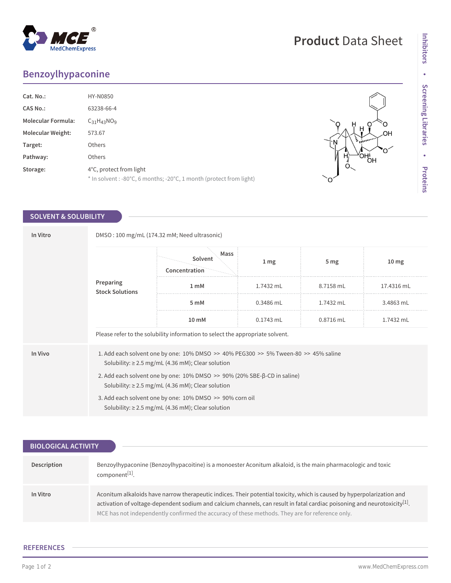## **Benzoylhypaconine**

| Cat. No.:                 | HY-N0850                                                                                       |
|---------------------------|------------------------------------------------------------------------------------------------|
| <b>CAS No.:</b>           | 63238-66-4                                                                                     |
| <b>Molecular Formula:</b> | $C_{31}H_{43}NO9$                                                                              |
| <b>Molecular Weight:</b>  | 573.67                                                                                         |
| Target:                   | Others                                                                                         |
| Pathway:                  | <b>Others</b>                                                                                  |
| Storage:                  | 4°C, protect from light<br>* In solvent : -80°C, 6 months; -20°C, 1 month (protect from light) |

## **SOLVENT & SOLUBILITY**

| In Vitro | DMSO: 100 mg/mL (174.32 mM; Need ultrasonic)                                                                                                     |                                  |                  |                 |                  |  |
|----------|--------------------------------------------------------------------------------------------------------------------------------------------------|----------------------------------|------------------|-----------------|------------------|--|
|          | Preparing<br><b>Stock Solutions</b>                                                                                                              | Mass<br>Solvent<br>Concentration | $1 \, \text{mg}$ | 5 <sub>mg</sub> | 10 <sub>mg</sub> |  |
|          |                                                                                                                                                  | 1 <sub>m</sub> M                 | 1.7432 mL        | 8.7158 mL       | 17.4316 mL       |  |
|          |                                                                                                                                                  | 5 mM                             | 0.3486 mL        | 1.7432 mL       | 3.4863 mL        |  |
|          |                                                                                                                                                  | 10 mM                            | $0.1743$ mL      | $0.8716$ mL     | 1.7432 mL        |  |
|          | Please refer to the solubility information to select the appropriate solvent.                                                                    |                                  |                  |                 |                  |  |
| In Vivo  | 1. Add each solvent one by one: 10% DMSO >> 40% PEG300 >> 5% Tween-80 >> 45% saline<br>Solubility: $\geq$ 2.5 mg/mL (4.36 mM); Clear solution    |                                  |                  |                 |                  |  |
|          | 2. Add each solvent one by one: $10\%$ DMSO $\gg$ 90% (20% SBE- $\beta$ -CD in saline)<br>Solubility: $\geq$ 2.5 mg/mL (4.36 mM); Clear solution |                                  |                  |                 |                  |  |
|          | 3. Add each solvent one by one: 10% DMSO >> 90% corn oil<br>Solubility: $\geq$ 2.5 mg/mL (4.36 mM); Clear solution                               |                                  |                  |                 |                  |  |

| BIOLOGICAL ACTIVITY |                                                                                                                                                                                                                                                                                                                                                                    |
|---------------------|--------------------------------------------------------------------------------------------------------------------------------------------------------------------------------------------------------------------------------------------------------------------------------------------------------------------------------------------------------------------|
|                     |                                                                                                                                                                                                                                                                                                                                                                    |
| Description         | Benzoylhypaconine (Benzoylhypacoitine) is a monoester Aconitum alkaloid, is the main pharmacologic and toxic<br>component <sup>[1]</sup> .                                                                                                                                                                                                                         |
| In Vitro            | Aconitum alkaloids have narrow therapeutic indices. Their potential toxicity, which is caused by hyperpolarization and<br>activation of voltage-dependent sodium and calcium channels, can result in fatal cardiac poisoning and neurotoxicity <sup>[1]</sup> .<br>MCE has not independently confirmed the accuracy of these methods. They are for reference only. |

## **REFERENCES**



Ĥ.

۔<br>ا

,<br>Он\_<br>ОН

DН